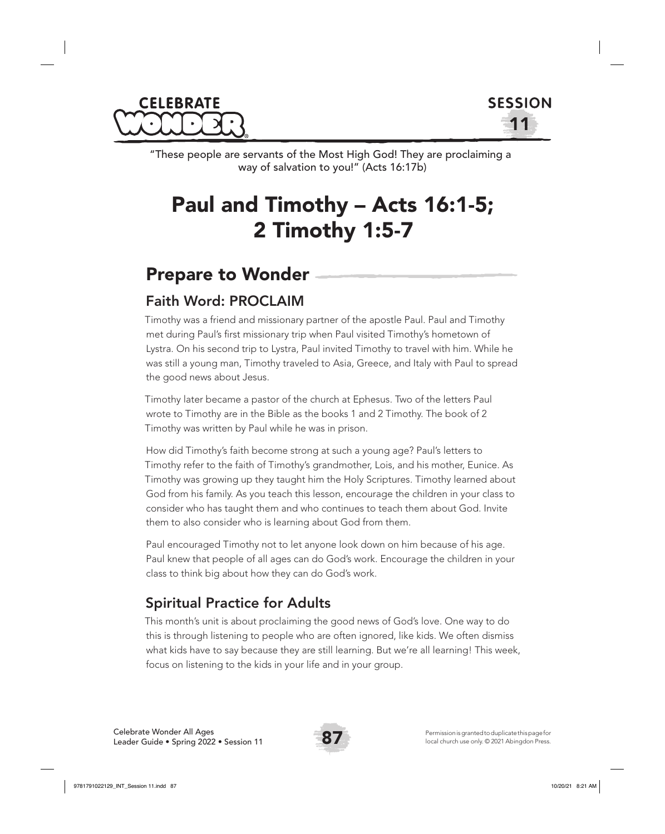



"These people are servants of the Most High God! They are proclaiming a way of salvation to you!" (Acts 16:17b)

# Paul and Timothy – Acts 16:1-5; 2 Timothy 1:5-7

## Prepare to Wonder

## Faith Word: PROCLAIM

Timothy was a friend and missionary partner of the apostle Paul. Paul and Timothy met during Paul's first missionary trip when Paul visited Timothy's hometown of Lystra. On his second trip to Lystra, Paul invited Timothy to travel with him. While he was still a young man, Timothy traveled to Asia, Greece, and Italy with Paul to spread the good news about Jesus.

Timothy later became a pastor of the church at Ephesus. Two of the letters Paul wrote to Timothy are in the Bible as the books 1 and 2 Timothy. The book of 2 Timothy was written by Paul while he was in prison.

How did Timothy's faith become strong at such a young age? Paul's letters to Timothy refer to the faith of Timothy's grandmother, Lois, and his mother, Eunice. As Timothy was growing up they taught him the Holy Scriptures. Timothy learned about God from his family. As you teach this lesson, encourage the children in your class to consider who has taught them and who continues to teach them about God. Invite them to also consider who is learning about God from them.

Paul encouraged Timothy not to let anyone look down on him because of his age. Paul knew that people of all ages can do God's work. Encourage the children in your class to think big about how they can do God's work.

## Spiritual Practice for Adults

This month's unit is about proclaiming the good news of God's love. One way to do this is through listening to people who are often ignored, like kids. We often dismiss what kids have to say because they are still learning. But we're all learning! This week, focus on listening to the kids in your life and in your group.

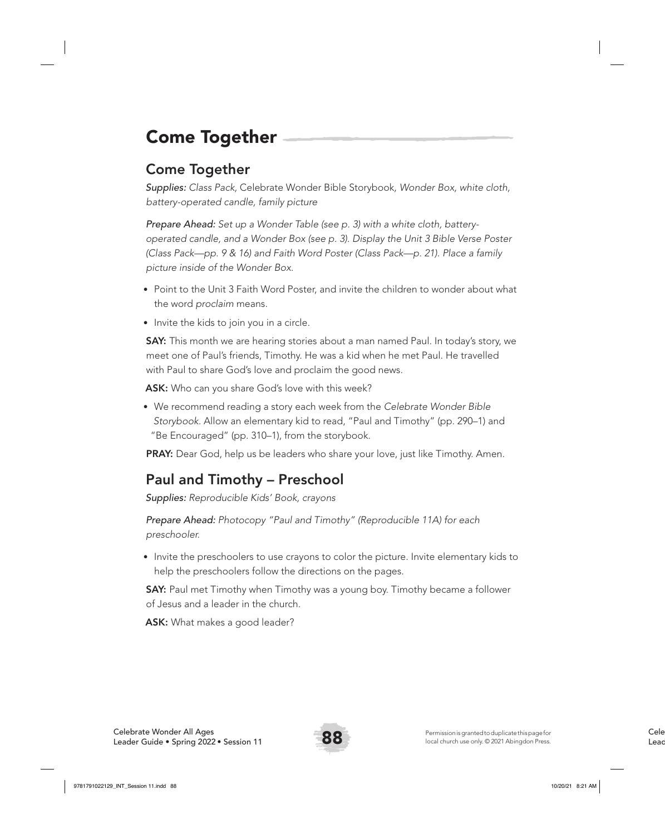# Come Together

## Come Together

*Supplies: Class Pack,* Celebrate Wonder Bible Storybook*, Wonder Box, white cloth, battery-operated candle, family picture*

*Prepare Ahead: Set up a Wonder Table (see p. 3) with a white cloth, batteryoperated candle, and a Wonder Box (see p. 3). Display the Unit 3 Bible Verse Poster (Class Pack—pp. 9 & 16) and Faith Word Poster (Class Pack—p. 21). Place a family picture inside of the Wonder Box.* 

- Point to the Unit 3 Faith Word Poster, and invite the children to wonder about what the word *proclaim* means.
- Invite the kids to join you in a circle.

**SAY:** This month we are hearing stories about a man named Paul. In today's story, we meet one of Paul's friends, Timothy. He was a kid when he met Paul. He travelled with Paul to share God's love and proclaim the good news.

ASK: Who can you share God's love with this week?

• We recommend reading a story each week from the *Celebrate Wonder Bible Storybook*. Allow an elementary kid to read, "Paul and Timothy" (pp. 290–1) and "Be Encouraged" (pp. 310–1), from the storybook.

PRAY: Dear God, help us be leaders who share your love, just like Timothy. Amen.

## Paul and Timothy – Preschool

*Supplies: Reproducible Kids' Book, crayons*

*Prepare Ahead: Photocopy "Paul and Timothy" (Reproducible 11A) for each preschooler.*

• Invite the preschoolers to use crayons to color the picture. Invite elementary kids to help the preschoolers follow the directions on the pages.

**SAY:** Paul met Timothy when Timothy was a young boy. Timothy became a follower of Jesus and a leader in the church.

ASK: What makes a good leader?

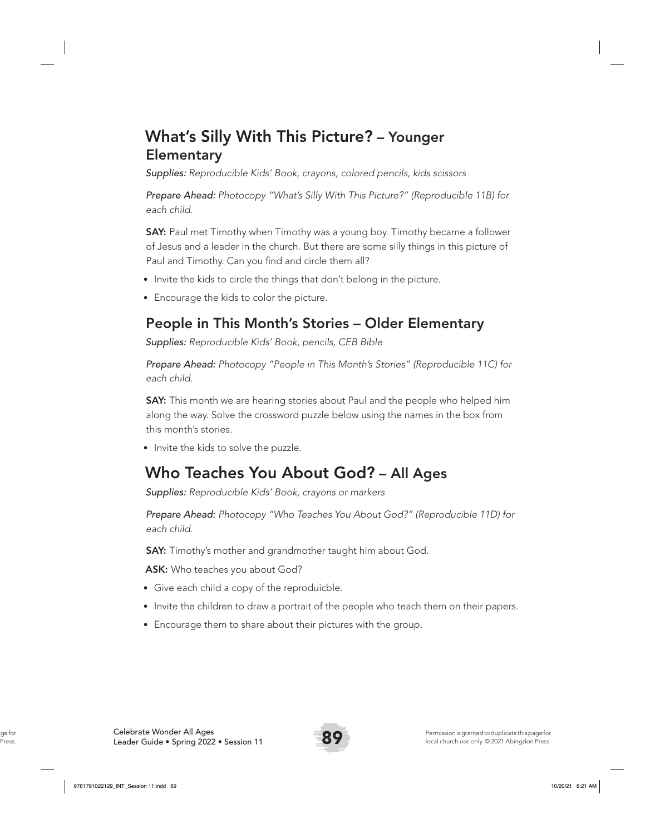## What's Silly With This Picture? – Younger **Elementary**

*Supplies: Reproducible Kids' Book, crayons, colored pencils, kids scissors*

*Prepare Ahead: Photocopy "What's Silly With This Picture?" (Reproducible 11B) for each child.*

**SAY:** Paul met Timothy when Timothy was a young boy. Timothy became a follower of Jesus and a leader in the church. But there are some silly things in this picture of Paul and Timothy. Can you find and circle them all?

- Invite the kids to circle the things that don't belong in the picture.
- Encourage the kids to color the picture.

## People in This Month's Stories – Older Elementary

*Supplies: Reproducible Kids' Book, pencils, CEB Bible*

*Prepare Ahead: Photocopy "People in This Month's Stories" (Reproducible 11C) for each child.* 

**SAY:** This month we are hearing stories about Paul and the people who helped him along the way. Solve the crossword puzzle below using the names in the box from this month's stories.

• Invite the kids to solve the puzzle.

## Who Teaches You About God? – All Ages

*Supplies: Reproducible Kids' Book, crayons or markers*

*Prepare Ahead: Photocopy "Who Teaches You About God?" (Reproducible 11D) for each child.* 

**SAY:** Timothy's mother and grandmother taught him about God.

ASK: Who teaches you about God?

- Give each child a copy of the reproduicble.
- Invite the children to draw a portrait of the people who teach them on their papers.
- Encourage them to share about their pictures with the group.

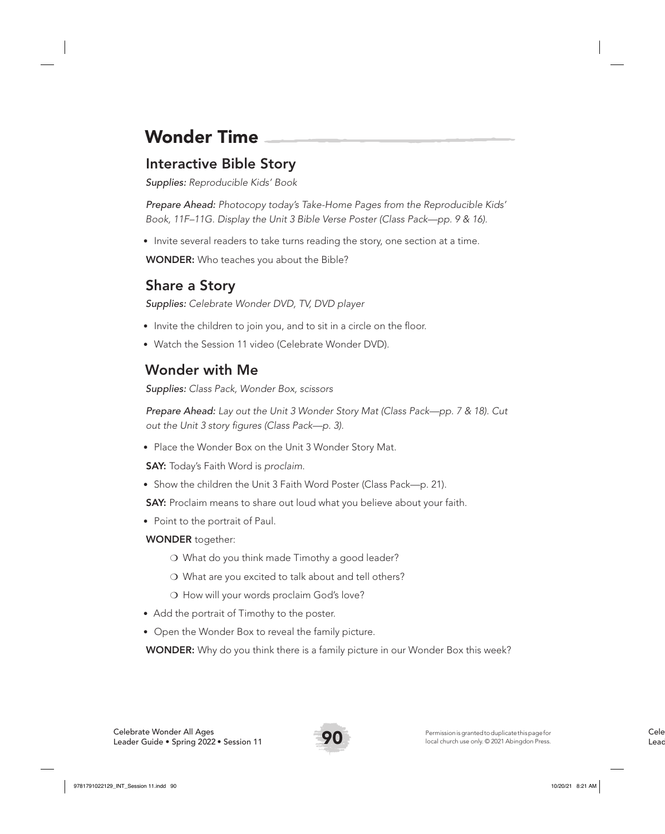# Wonder Time

## Interactive Bible Story

*Supplies: Reproducible Kids' Book* 

*Prepare Ahead: Photocopy today's Take-Home Pages from the Reproducible Kids' Book, 11F–11G. Display the Unit 3 Bible Verse Poster (Class Pack—pp. 9 & 16).*

• Invite several readers to take turns reading the story, one section at a time.

WONDER: Who teaches you about the Bible?

## Share a Story

*Supplies: Celebrate Wonder DVD, TV, DVD player*

- Invite the children to join you, and to sit in a circle on the floor.
- Watch the Session 11 video (Celebrate Wonder DVD).

## Wonder with Me

*Supplies: Class Pack, Wonder Box, scissors*

*Prepare Ahead: Lay out the Unit 3 Wonder Story Mat (Class Pack—pp. 7 & 18). Cut out the Unit 3 story figures (Class Pack—p. 3).* 

• Place the Wonder Box on the Unit 3 Wonder Story Mat.

SAY: Today's Faith Word is *proclaim*.

• Show the children the Unit 3 Faith Word Poster (Class Pack—p. 21).

SAY: Proclaim means to share out loud what you believe about your faith.

• Point to the portrait of Paul.

#### WONDER together:

- ❍ What do you think made Timothy a good leader?
- ❍ What are you excited to talk about and tell others?
- ❍ How will your words proclaim God's love?
- Add the portrait of Timothy to the poster.
- Open the Wonder Box to reveal the family picture.

**WONDER:** Why do you think there is a family picture in our Wonder Box this week?

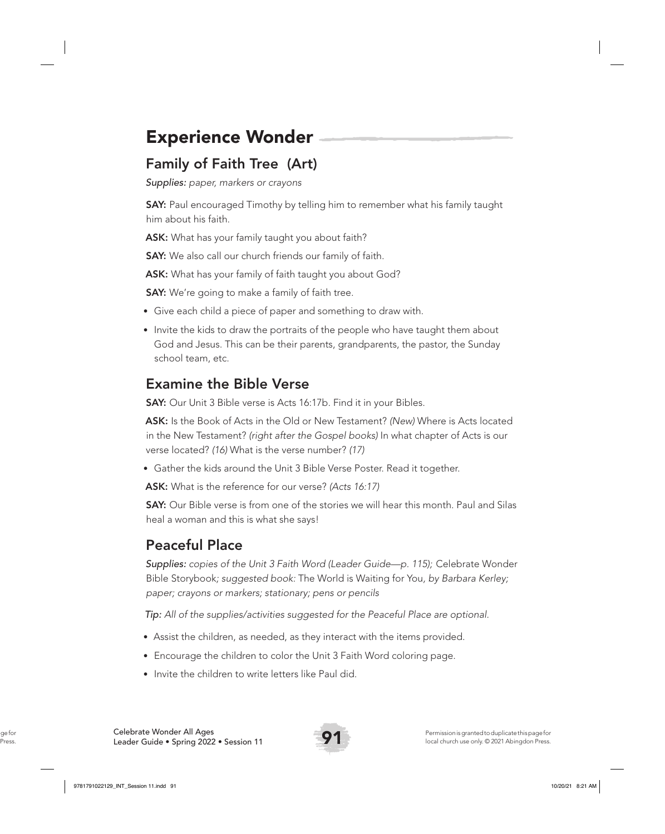## Experience Wonder

## Family of Faith Tree (Art)

*Supplies: paper, markers or crayons* 

**SAY:** Paul encouraged Timothy by telling him to remember what his family taught him about his faith.

ASK: What has your family taught you about faith?

**SAY:** We also call our church friends our family of faith.

ASK: What has your family of faith taught you about God?

**SAY:** We're going to make a family of faith tree.

- Give each child a piece of paper and something to draw with.
- Invite the kids to draw the portraits of the people who have taught them about God and Jesus. This can be their parents, grandparents, the pastor, the Sunday school team, etc.

## Examine the Bible Verse

SAY: Our Unit 3 Bible verse is Acts 16:17b. Find it in your Bibles.

ASK: Is the Book of Acts in the Old or New Testament? *(New)* Where is Acts located in the New Testament? *(right after the Gospel books)* In what chapter of Acts is our verse located? *(16)* What is the verse number? *(17)*

• Gather the kids around the Unit 3 Bible Verse Poster. Read it together.

ASK: What is the reference for our verse? *(Acts 16:17)*

**SAY:** Our Bible verse is from one of the stories we will hear this month. Paul and Silas heal a woman and this is what she says!

## Peaceful Place

*Supplies: copies of the Unit 3 Faith Word (Leader Guide—p. 115);* Celebrate Wonder Bible Storybook*; suggested book:* The World is Waiting for You*, by Barbara Kerley; paper; crayons or markers; stationary; pens or pencils*

*Tip: All of the supplies/activities suggested for the Peaceful Place are optional.*

- Assist the children, as needed, as they interact with the items provided.
- Encourage the children to color the Unit 3 Faith Word coloring page.
- Invite the children to write letters like Paul did.

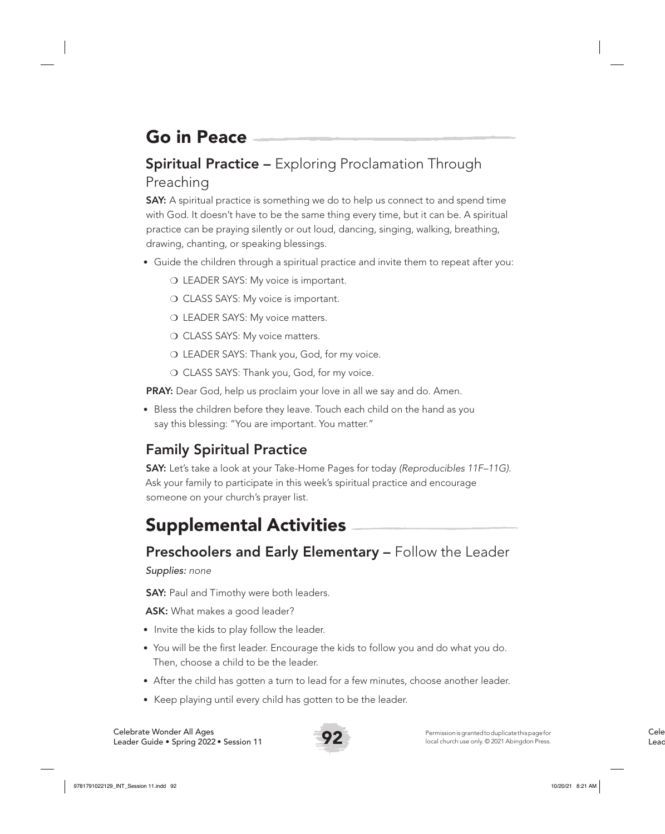# Go in Peace

## **Spiritual Practice –** Exploring Proclamation Through Preaching

**SAY:** A spiritual practice is something we do to help us connect to and spend time with God. It doesn't have to be the same thing every time, but it can be. A spiritual practice can be praying silently or out loud, dancing, singing, walking, breathing, drawing, chanting, or speaking blessings.

- Guide the children through a spiritual practice and invite them to repeat after you:
	- O LEADER SAYS: My voice is important.
	- O CLASS SAYS: My voice is important.
	- O LEADER SAYS: My voice matters.
	- O CLASS SAYS: My voice matters.
	- ❍ LEADER SAYS: Thank you, God, for my voice.
	- O CLASS SAYS: Thank you, God, for my voice.

**PRAY:** Dear God, help us proclaim your love in all we say and do. Amen.

• Bless the children before they leave. Touch each child on the hand as you say this blessing: "You are important. You matter."

## Family Spiritual Practice

SAY: Let's take a look at your Take-Home Pages for today *(Reproducibles 11F–11G)*. Ask your family to participate in this week's spiritual practice and encourage someone on your church's prayer list.

## Supplemental Activities

## Preschoolers and Early Elementary – Follow the Leader

#### *Supplies: none*

**SAY:** Paul and Timothy were both leaders.

ASK: What makes a good leader?

- Invite the kids to play follow the leader.
- You will be the first leader. Encourage the kids to follow you and do what you do. Then, choose a child to be the leader.
- After the child has gotten a turn to lead for a few minutes, choose another leader.
- Keep playing until every child has gotten to be the leader.

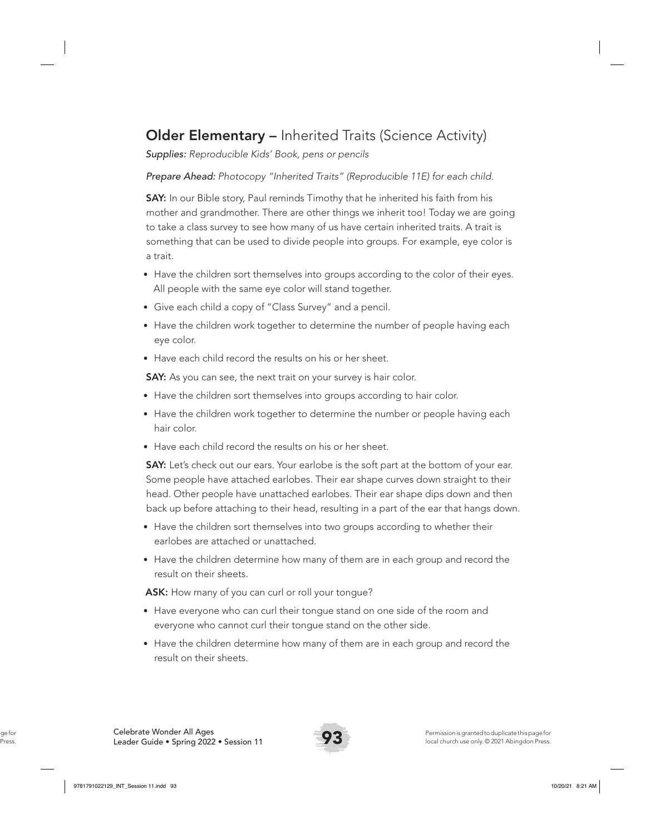## Older Elementary – Inherited Traits (Science Activity)

*Supplies: Reproducible Kids' Book, pens or pencils*

#### *Prepare Ahead: Photocopy "Inherited Traits" (Reproducible 11E) for each child.*

SAY: In our Bible story, Paul reminds Timothy that he inherited his faith from his mother and grandmother. There are other things we inherit too! Today we are going to take a class survey to see how many of us have certain inherited traits. A trait is something that can be used to divide people into groups. For example, eye color is a trait.

- Have the children sort themselves into groups according to the color of their eyes. All people with the same eye color will stand together.
- Give each child a copy of "Class Survey" and a pencil.
- Have the children work together to determine the number of people having each eye color.
- Have each child record the results on his or her sheet.

SAY: As you can see, the next trait on your survey is hair color.

- Have the children sort themselves into groups according to hair color.
- Have the children work together to determine the number or people having each hair color.
- Have each child record the results on his or her sheet.

**SAY:** Let's check out our ears. Your earlobe is the soft part at the bottom of your ear. Some people have attached earlobes. Their ear shape curves down straight to their head. Other people have unattached earlobes. Their ear shape dips down and then back up before attaching to their head, resulting in a part of the ear that hangs down.

- Have the children sort themselves into two groups according to whether their earlobes are attached or unattached.
- Have the children determine how many of them are in each group and record the result on their sheets.

ASK: How many of you can curl or roll your tongue?

- Have everyone who can curl their tongue stand on one side of the room and everyone who cannot curl their tongue stand on the other side.
- Have the children determine how many of them are in each group and record the result on their sheets.